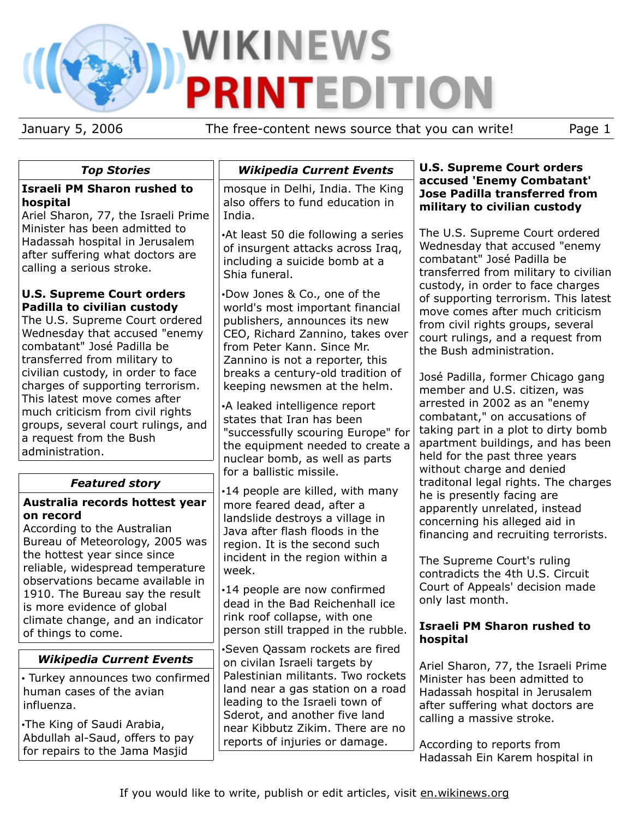# WIKINEWS **PRINTEDITION**

January 5, 2006 The free-content news source that you can write! Page 1

# *Top Stories*

# **Israeli PM Sharon rushed to hospital**

Ariel Sharon, 77, the Israeli Prime Minister has been admitted to Hadassah hospital in Jerusalem after suffering what doctors are calling a serious stroke.

## **U.S. Supreme Court orders Padilla to civilian custody**

The U.S. Supreme Court ordered Wednesday that accused "enemy combatant" José Padilla be transferred from military to civilian custody, in order to face charges of supporting terrorism. This latest move comes after much criticism from civil rights groups, several court rulings, and a request from the Bush administration.

# *Featured story*

## **Australia records hottest year on record**

According to the Australian Bureau of Meteorology, 2005 was the hottest year since since reliable, widespread temperature observations became available in 1910. The Bureau say the result is more evidence of global climate change, and an indicator of things to come.

# *Wikipedia Current Events*

• Turkey announces two confirmed human cases of the avian influenza.

•The King of Saudi Arabia, Abdullah al-Saud, offers to pay for repairs to the Jama Masjid

# *Wikipedia Current Events*

mosque in Delhi, India. The King also offers to fund education in India.

•At least 50 die following a series of insurgent attacks across Iraq, including a suicide bomb at a Shia funeral.

•Dow Jones & Co., one of the world's most important financial publishers, announces its new CEO, Richard Zannino, takes over from Peter Kann. Since Mr. Zannino is not a reporter, this breaks a century-old tradition of keeping newsmen at the helm.

•A leaked intelligence report states that Iran has been "successfully scouring Europe" for the equipment needed to create a nuclear bomb, as well as parts for a ballistic missile.

•14 people are killed, with many more feared dead, after a landslide destroys a village in Java after flash floods in the region. It is the second such incident in the region within a week.

•14 people are now confirmed dead in the Bad Reichenhall ice rink roof collapse, with one person still trapped in the rubble.

•Seven Qassam rockets are fired on civilan Israeli targets by Palestinian militants. Two rockets land near a gas station on a road leading to the Israeli town of Sderot, and another five land near Kibbutz Zikim. There are no reports of injuries or damage.

#### **U.S. Supreme Court orders accused 'Enemy Combatant' Jose Padilla transferred from military to civilian custody**

The U.S. Supreme Court ordered Wednesday that accused "enemy combatant" José Padilla be transferred from military to civilian custody, in order to face charges of supporting terrorism. This latest move comes after much criticism from civil rights groups, several court rulings, and a request from the Bush administration.

José Padilla, former Chicago gang member and U.S. citizen, was arrested in 2002 as an "enemy combatant," on accusations of taking part in a plot to dirty bomb apartment buildings, and has been held for the past three years without charge and denied traditonal legal rights. The charges he is presently facing are apparently unrelated, instead concerning his alleged aid in financing and recruiting terrorists.

The Supreme Court's ruling contradicts the 4th U.S. Circuit Court of Appeals' decision made only last month.

# **Israeli PM Sharon rushed to hospital**

Ariel Sharon, 77, the Israeli Prime Minister has been admitted to Hadassah hospital in Jerusalem after suffering what doctors are calling a massive stroke.

According to reports from Hadassah Ein Karem hospital in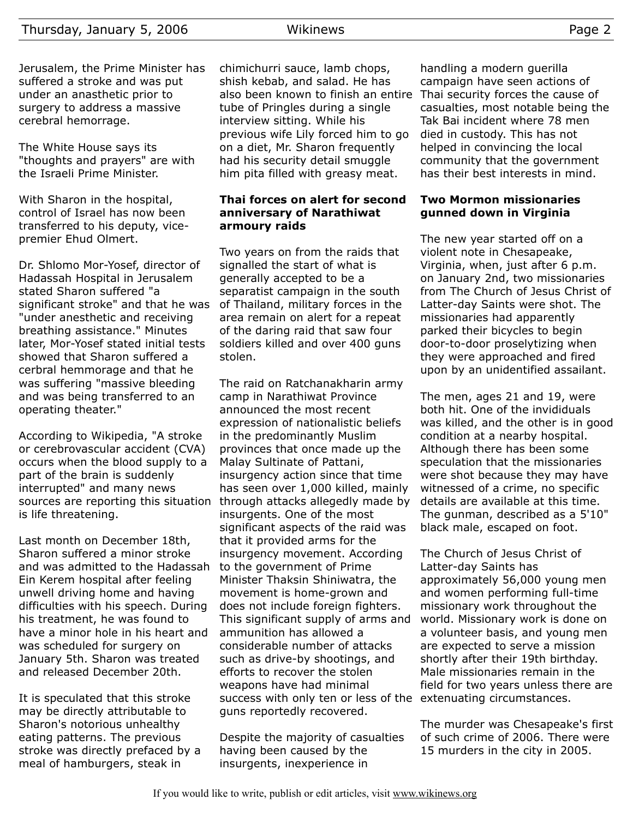Jerusalem, the Prime Minister has suffered a stroke and was put under an anasthetic prior to surgery to address a massive cerebral hemorrage.

The White House says its "thoughts and prayers" are with the Israeli Prime Minister.

With Sharon in the hospital, control of Israel has now been transferred to his deputy, vicepremier Ehud Olmert.

Dr. Shlomo Mor-Yosef, director of Hadassah Hospital in Jerusalem stated Sharon suffered "a significant stroke" and that he was "under anesthetic and receiving breathing assistance." Minutes later, Mor-Yosef stated initial tests showed that Sharon suffered a cerbral hemmorage and that he was suffering "massive bleeding and was being transferred to an operating theater."

According to Wikipedia, "A stroke or cerebrovascular accident (CVA) occurs when the blood supply to a part of the brain is suddenly interrupted" and many news sources are reporting this situation is life threatening.

Last month on December 18th, Sharon suffered a minor stroke and was admitted to the Hadassah Ein Kerem hospital after feeling unwell driving home and having difficulties with his speech. During his treatment, he was found to have a minor hole in his heart and was scheduled for surgery on January 5th. Sharon was treated and released December 20th.

It is speculated that this stroke may be directly attributable to Sharon's notorious unhealthy eating patterns. The previous stroke was directly prefaced by a meal of hamburgers, steak in

chimichurri sauce, lamb chops, shish kebab, and salad. He has also been known to finish an entire Thai security forces the cause of tube of Pringles during a single interview sitting. While his previous wife Lily forced him to go on a diet, Mr. Sharon frequently had his security detail smuggle him pita filled with greasy meat.

#### **Thai forces on alert for second anniversary of Narathiwat armoury raids**

Two years on from the raids that signalled the start of what is generally accepted to be a separatist campaign in the south of Thailand, military forces in the area remain on alert for a repeat of the daring raid that saw four soldiers killed and over 400 guns stolen.

The raid on Ratchanakharin army camp in Narathiwat Province announced the most recent expression of nationalistic beliefs in the predominantly Muslim provinces that once made up the Malay Sultinate of Pattani, insurgency action since that time has seen over 1,000 killed, mainly through attacks allegedly made by insurgents. One of the most significant aspects of the raid was that it provided arms for the insurgency movement. According to the government of Prime Minister Thaksin Shiniwatra, the movement is home-grown and does not include foreign fighters. This significant supply of arms and ammunition has allowed a considerable number of attacks such as drive-by shootings, and efforts to recover the stolen weapons have had minimal success with only ten or less of the extenuating circumstances. guns reportedly recovered.

Despite the majority of casualties having been caused by the insurgents, inexperience in

handling a modern guerilla campaign have seen actions of casualties, most notable being the Tak Bai incident where 78 men died in custody. This has not helped in convincing the local community that the government has their best interests in mind.

#### **Two Mormon missionaries gunned down in Virginia**

The new year started off on a violent note in Chesapeake, Virginia, when, just after 6 p.m. on January 2nd, two missionaries from The Church of Jesus Christ of Latter-day Saints were shot. The missionaries had apparently parked their bicycles to begin door-to-door proselytizing when they were approached and fired upon by an unidentified assailant.

The men, ages 21 and 19, were both hit. One of the invididuals was killed, and the other is in good condition at a nearby hospital. Although there has been some speculation that the missionaries were shot because they may have witnessed of a crime, no specific details are available at this time. The gunman, described as a 5'10" black male, escaped on foot.

The Church of Jesus Christ of Latter-day Saints has approximately 56,000 young men and women performing full-time missionary work throughout the world. Missionary work is done on a volunteer basis, and young men are expected to serve a mission shortly after their 19th birthday. Male missionaries remain in the field for two years unless there are

The murder was Chesapeake's first of such crime of 2006. There were 15 murders in the city in 2005.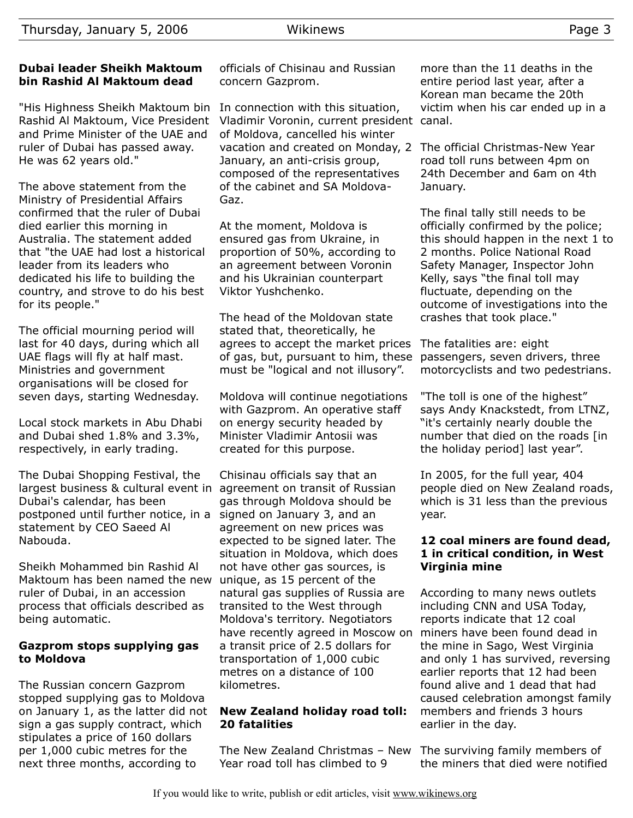#### **Dubai leader Sheikh Maktoum bin Rashid Al Maktoum dead**

"His Highness Sheikh Maktoum bin Rashid Al Maktoum, Vice President and Prime Minister of the UAE and ruler of Dubai has passed away. He was 62 years old."

The above statement from the Ministry of Presidential Affairs confirmed that the ruler of Dubai died earlier this morning in Australia. The statement added that "the UAE had lost a historical leader from its leaders who dedicated his life to building the country, and strove to do his best for its people."

The official mourning period will last for 40 days, during which all UAE flags will fly at half mast. Ministries and government organisations will be closed for seven days, starting Wednesday.

Local stock markets in Abu Dhabi and Dubai shed 1.8% and 3.3%, respectively, in early trading.

The Dubai Shopping Festival, the largest business & cultural event in agreement on transit of Russian Dubai's calendar, has been postponed until further notice, in a signed on January 3, and an statement by CEO Saeed Al Nabouda.

Sheikh Mohammed bin Rashid Al Maktoum has been named the new ruler of Dubai, in an accession process that officials described as being automatic.

#### **Gazprom stops supplying gas to Moldova**

The Russian concern Gazprom stopped supplying gas to Moldova on January 1, as the latter did not sign a gas supply contract, which stipulates a price of 160 dollars per 1,000 cubic metres for the next three months, according to

officials of Chisinau and Russian concern Gazprom.

In connection with this situation, Vladimir Voronin, current president canal. of Moldova, cancelled his winter vacation and created on Monday, 2 The official Christmas-New Year January, an anti-crisis group, composed of the representatives of the cabinet and SA Moldova-Gaz.

At the moment, Moldova is ensured gas from Ukraine, in proportion of 50%, according to an agreement between Voronin and his Ukrainian counterpart Viktor Yushchenko.

The head of the Moldovan state stated that, theoretically, he agrees to accept the market prices The fatalities are: eight of gas, but, pursuant to him, these must be "logical and not illusory".

Moldova will continue negotiations with Gazprom. An operative staff on energy security headed by Minister Vladimir Antosii was created for this purpose.

Chisinau officials say that an gas through Moldova should be agreement on new prices was expected to be signed later. The situation in Moldova, which does not have other gas sources, is unique, as 15 percent of the natural gas supplies of Russia are transited to the West through Moldova's territory. Negotiators have recently agreed in Moscow on a transit price of 2.5 dollars for transportation of 1,000 cubic metres on a distance of 100 kilometres.

#### **New Zealand holiday road toll: 20 fatalities**

The New Zealand Christmas - New The surviving family members of Year road toll has climbed to 9

more than the 11 deaths in the entire period last year, after a Korean man became the 20th victim when his car ended up in a

road toll runs between 4pm on 24th December and 6am on 4th January.

The final tally still needs to be officially confirmed by the police; this should happen in the next 1 to 2 months. Police National Road Safety Manager, Inspector John Kelly, says "the final toll may fluctuate, depending on the outcome of investigations into the crashes that took place."

passengers, seven drivers, three motorcyclists and two pedestrians.

"The toll is one of the highest" says Andy Knackstedt, from LTNZ, "it's certainly nearly double the number that died on the roads [in the holiday period] last year".

In 2005, for the full year, 404 people died on New Zealand roads, which is 31 less than the previous year.

#### **12 coal miners are found dead, 1 in critical condition, in West Virginia mine**

According to many news outlets including CNN and USA Today, reports indicate that 12 coal miners have been found dead in the mine in Sago, West Virginia and only 1 has survived, reversing earlier reports that 12 had been found alive and 1 dead that had caused celebration amongst family members and friends 3 hours earlier in the day.

the miners that died were notified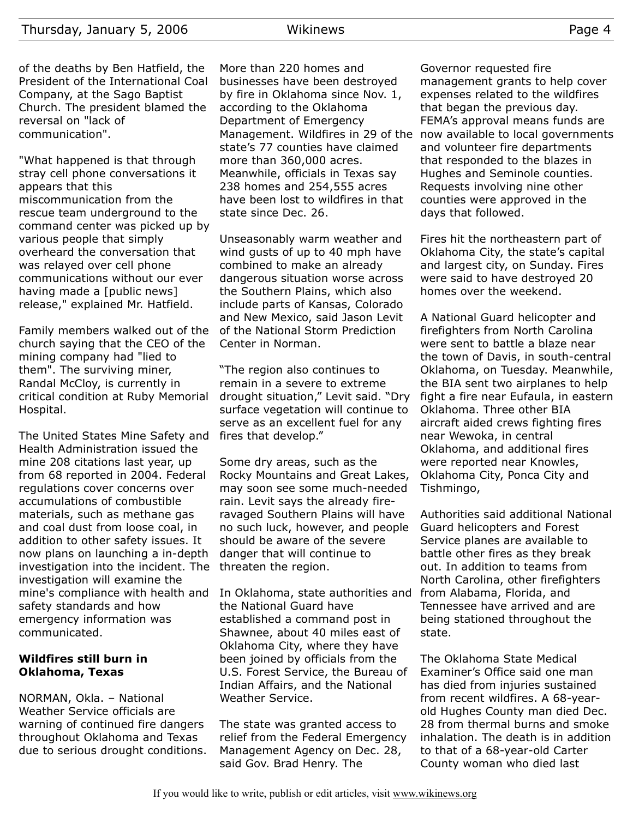of the deaths by Ben Hatfield, the President of the International Coal Company, at the Sago Baptist Church. The president blamed the reversal on "lack of communication".

"What happened is that through stray cell phone conversations it appears that this miscommunication from the rescue team underground to the command center was picked up by various people that simply overheard the conversation that was relayed over cell phone communications without our ever having made a [public news] release," explained Mr. Hatfield.

Family members walked out of the church saying that the CEO of the mining company had "lied to them". The surviving miner, Randal McCloy, is currently in critical condition at Ruby Memorial Hospital.

The United States Mine Safety and Health Administration issued the mine 208 citations last year, up from 68 reported in 2004. Federal regulations cover concerns over accumulations of combustible materials, such as methane gas and coal dust from loose coal, in addition to other safety issues. It now plans on launching a in-depth investigation into the incident. The investigation will examine the mine's compliance with health and safety standards and how emergency information was communicated.

#### **Wildfires still burn in Oklahoma, Texas**

NORMAN, Okla. – National Weather Service officials are warning of continued fire dangers throughout Oklahoma and Texas due to serious drought conditions.

More than 220 homes and businesses have been destroyed by fire in Oklahoma since Nov. 1, according to the Oklahoma Department of Emergency Management. Wildfires in 29 of the state's 77 counties have claimed more than 360,000 acres. Meanwhile, officials in Texas say 238 homes and 254,555 acres have been lost to wildfires in that state since Dec. 26.

Unseasonably warm weather and wind gusts of up to 40 mph have combined to make an already dangerous situation worse across the Southern Plains, which also include parts of Kansas, Colorado and New Mexico, said Jason Levit of the National Storm Prediction Center in Norman.

"The region also continues to remain in a severe to extreme drought situation," Levit said. "Dry surface vegetation will continue to serve as an excellent fuel for any fires that develop."

Some dry areas, such as the Rocky Mountains and Great Lakes, may soon see some much-needed rain. Levit says the already fireravaged Southern Plains will have no such luck, however, and people should be aware of the severe danger that will continue to threaten the region.

In Oklahoma, state authorities and from Alabama, Florida, and the National Guard have established a command post in Shawnee, about 40 miles east of Oklahoma City, where they have been joined by officials from the U.S. Forest Service, the Bureau of Indian Affairs, and the National Weather Service.

The state was granted access to relief from the Federal Emergency Management Agency on Dec. 28, said Gov. Brad Henry. The

Governor requested fire management grants to help cover expenses related to the wildfires that began the previous day. FEMA's approval means funds are now available to local governments and volunteer fire departments that responded to the blazes in Hughes and Seminole counties. Requests involving nine other counties were approved in the days that followed.

Fires hit the northeastern part of Oklahoma City, the state's capital and largest city, on Sunday. Fires were said to have destroyed 20 homes over the weekend.

A National Guard helicopter and firefighters from North Carolina were sent to battle a blaze near the town of Davis, in south-central Oklahoma, on Tuesday. Meanwhile, the BIA sent two airplanes to help fight a fire near Eufaula, in eastern Oklahoma. Three other BIA aircraft aided crews fighting fires near Wewoka, in central Oklahoma, and additional fires were reported near Knowles, Oklahoma City, Ponca City and Tishmingo,

Authorities said additional National Guard helicopters and Forest Service planes are available to battle other fires as they break out. In addition to teams from North Carolina, other firefighters Tennessee have arrived and are being stationed throughout the state.

The Oklahoma State Medical Examiner's Office said one man has died from injuries sustained from recent wildfires. A 68-yearold Hughes County man died Dec. 28 from thermal burns and smoke inhalation. The death is in addition to that of a 68-year-old Carter County woman who died last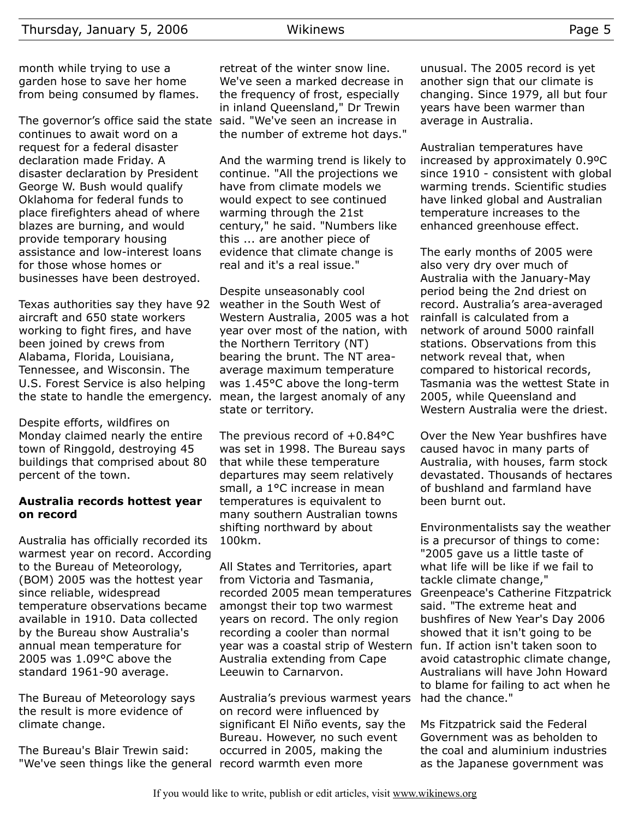month while trying to use a garden hose to save her home from being consumed by flames.

The governor's office said the state continues to await word on a request for a federal disaster declaration made Friday. A disaster declaration by President George W. Bush would qualify Oklahoma for federal funds to place firefighters ahead of where blazes are burning, and would provide temporary housing assistance and low-interest loans for those whose homes or businesses have been destroyed.

Texas authorities say they have 92 aircraft and 650 state workers working to fight fires, and have been joined by crews from Alabama, Florida, Louisiana, Tennessee, and Wisconsin. The U.S. Forest Service is also helping the state to handle the emergency. mean, the largest anomaly of any

Despite efforts, wildfires on Monday claimed nearly the entire town of Ringgold, destroying 45 buildings that comprised about 80 percent of the town.

#### **Australia records hottest year on record**

Australia has officially recorded its warmest year on record. According to the Bureau of Meteorology, (BOM) 2005 was the hottest year since reliable, widespread temperature observations became available in 1910. Data collected by the Bureau show Australia's annual mean temperature for 2005 was 1.09°C above the standard 1961-90 average.

The Bureau of Meteorology says the result is more evidence of climate change.

The Bureau's Blair Trewin said: "We've seen things like the general record warmth even more

retreat of the winter snow line. We've seen a marked decrease in the frequency of frost, especially in inland Queensland," Dr Trewin said. "We've seen an increase in the number of extreme hot days."

And the warming trend is likely to continue. "All the projections we have from climate models we would expect to see continued warming through the 21st century," he said. "Numbers like this ... are another piece of evidence that climate change is real and it's a real issue."

Despite unseasonably cool weather in the South West of Western Australia, 2005 was a hot year over most of the nation, with the Northern Territory (NT) bearing the brunt. The NT areaaverage maximum temperature was 1.45°C above the long-term state or territory.

The previous record of +0.84°C was set in 1998. The Bureau says that while these temperature departures may seem relatively small, a 1°C increase in mean temperatures is equivalent to many southern Australian towns shifting northward by about 100km.

All States and Territories, apart from Victoria and Tasmania, recorded 2005 mean temperatures amongst their top two warmest years on record. The only region recording a cooler than normal year was a coastal strip of Western Australia extending from Cape Leeuwin to Carnarvon.

Australia's previous warmest years on record were influenced by significant El Niño events, say the Bureau. However, no such event occurred in 2005, making the

unusual. The 2005 record is yet another sign that our climate is changing. Since 1979, all but four years have been warmer than average in Australia.

Australian temperatures have increased by approximately 0.9ºC since 1910 - consistent with global warming trends. Scientific studies have linked global and Australian temperature increases to the enhanced greenhouse effect.

The early months of 2005 were also very dry over much of Australia with the January-May period being the 2nd driest on record. Australia's area-averaged rainfall is calculated from a network of around 5000 rainfall stations. Observations from this network reveal that, when compared to historical records, Tasmania was the wettest State in 2005, while Queensland and Western Australia were the driest.

Over the New Year bushfires have caused havoc in many parts of Australia, with houses, farm stock devastated. Thousands of hectares of bushland and farmland have been burnt out.

Environmentalists say the weather is a precursor of things to come: "2005 gave us a little taste of what life will be like if we fail to tackle climate change," Greenpeace's Catherine Fitzpatrick said. "The extreme heat and bushfires of New Year's Day 2006 showed that it isn't going to be fun. If action isn't taken soon to avoid catastrophic climate change, Australians will have John Howard to blame for failing to act when he had the chance."

Ms Fitzpatrick said the Federal Government was as beholden to the coal and aluminium industries as the Japanese government was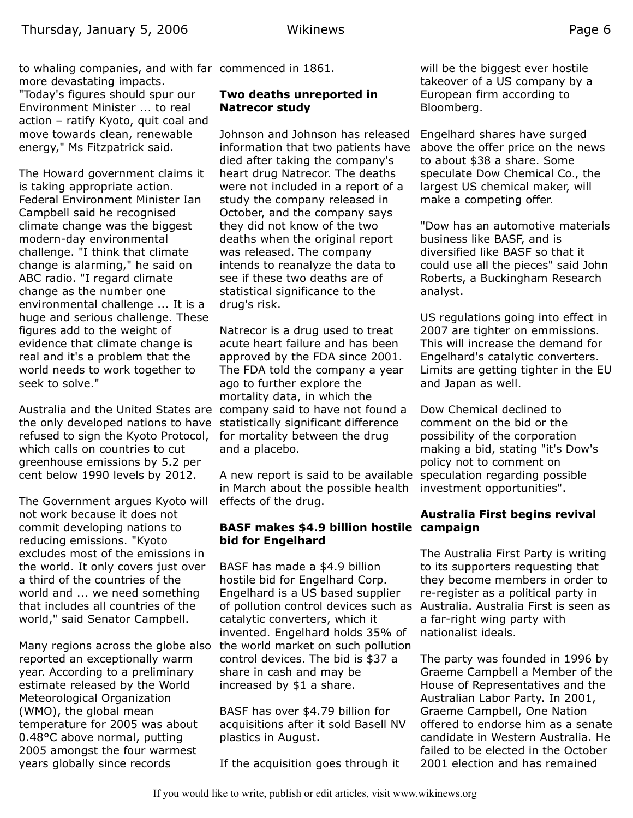to whaling companies, and with far commenced in 1861. more devastating impacts.

"Today's figures should spur our Environment Minister ... to real action – ratify Kyoto, quit coal and move towards clean, renewable energy," Ms Fitzpatrick said.

The Howard government claims it is taking appropriate action. Federal Environment Minister Ian Campbell said he recognised climate change was the biggest modern-day environmental challenge. "I think that climate change is alarming," he said on ABC radio. "I regard climate change as the number one environmental challenge ... It is a huge and serious challenge. These figures add to the weight of evidence that climate change is real and it's a problem that the world needs to work together to seek to solve."

Australia and the United States are company said to have not found a the only developed nations to have statistically significant difference refused to sign the Kyoto Protocol, which calls on countries to cut greenhouse emissions by 5.2 per cent below 1990 levels by 2012.

The Government argues Kyoto will not work because it does not commit developing nations to reducing emissions. "Kyoto excludes most of the emissions in the world. It only covers just over a third of the countries of the world and ... we need something that includes all countries of the world," said Senator Campbell.

Many regions across the globe also reported an exceptionally warm year. According to a preliminary estimate released by the World Meteorological Organization (WMO), the global mean temperature for 2005 was about 0.48°C above normal, putting 2005 amongst the four warmest years globally since records

#### **Two deaths unreported in Natrecor study**

Johnson and Johnson has released information that two patients have died after taking the company's heart drug Natrecor. The deaths were not included in a report of a study the company released in October, and the company says they did not know of the two deaths when the original report was released. The company intends to reanalyze the data to see if these two deaths are of statistical significance to the drug's risk.

Natrecor is a drug used to treat acute heart failure and has been approved by the FDA since 2001. The FDA told the company a year ago to further explore the mortality data, in which the for mortality between the drug and a placebo.

A new report is said to be available speculation regarding possible in March about the possible health investment opportunities". effects of the drug.

#### **BASF makes \$4.9 billion hostile campaign bid for Engelhard**

BASF has made a \$4.9 billion hostile bid for Engelhard Corp. Engelhard is a US based supplier of pollution control devices such as catalytic converters, which it invented. Engelhard holds 35% of the world market on such pollution control devices. The bid is \$37 a share in cash and may be increased by \$1 a share.

BASF has over \$4.79 billion for acquisitions after it sold Basell NV plastics in August.

If the acquisition goes through it

will be the biggest ever hostile takeover of a US company by a European firm according to Bloomberg.

Engelhard shares have surged above the offer price on the news to about \$38 a share. Some speculate Dow Chemical Co., the largest US chemical maker, will make a competing offer.

"Dow has an automotive materials business like BASF, and is diversified like BASF so that it could use all the pieces" said John Roberts, a Buckingham Research analyst.

US regulations going into effect in 2007 are tighter on emmissions. This will increase the demand for Engelhard's catalytic converters. Limits are getting tighter in the EU and Japan as well.

Dow Chemical declined to comment on the bid or the possibility of the corporation making a bid, stating "it's Dow's policy not to comment on

# **Australia First begins revival**

The Australia First Party is writing to its supporters requesting that they become members in order to re-register as a political party in Australia. Australia First is seen as a far-right wing party with nationalist ideals.

The party was founded in 1996 by Graeme Campbell a Member of the House of Representatives and the Australian Labor Party. In 2001, Graeme Campbell, One Nation offered to endorse him as a senate candidate in Western Australia. He failed to be elected in the October 2001 election and has remained